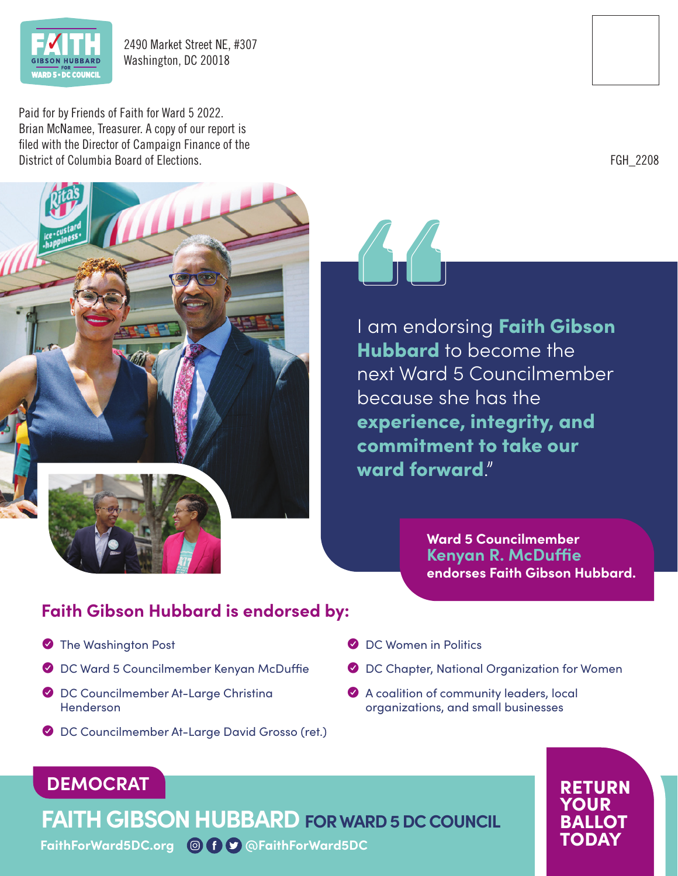

2490 Market Street NE, #307 Washington, DC 20018

Paid for by Friends of Faith for Ward 5 2022. Brian McNamee, Treasurer. A copy of our report is filed with the Director of Campaign Finance of the District of Columbia Board of Elections.





I am endorsing Faith Gibson Hubbard to become the next Ward 5 Councilmember because she has the experience, integrity, and commitment to take our ward forward"

> **Ward 5 Councilmember Kenyan R. McDuffie endorses Faith Gibson Hubbard.**

> > RETURN YOUR BALLOT

### **Faith Gibson Hubbard is endorsed by:**

- **The Washington Post**
- Y DC Ward 5 Councilmember Kenyan McDuffie
- Y DC Councilmember At-Large Christina Henderson
- ◆ DC Councilmember At-Large David Grosso (ret.)
- **O** DC Women in Politics
- Y DC Chapter, National Organization for Women
- Y A coalition of community leaders, local organizations, and small businesses

# **DEMOCRAT**

**FAITH GIBSON HUBBARD FOR WARD 5 DC COUNCIL**

**FaithForWard5DC.org @FaithForWard5DC** TODAY

FGH\_2208